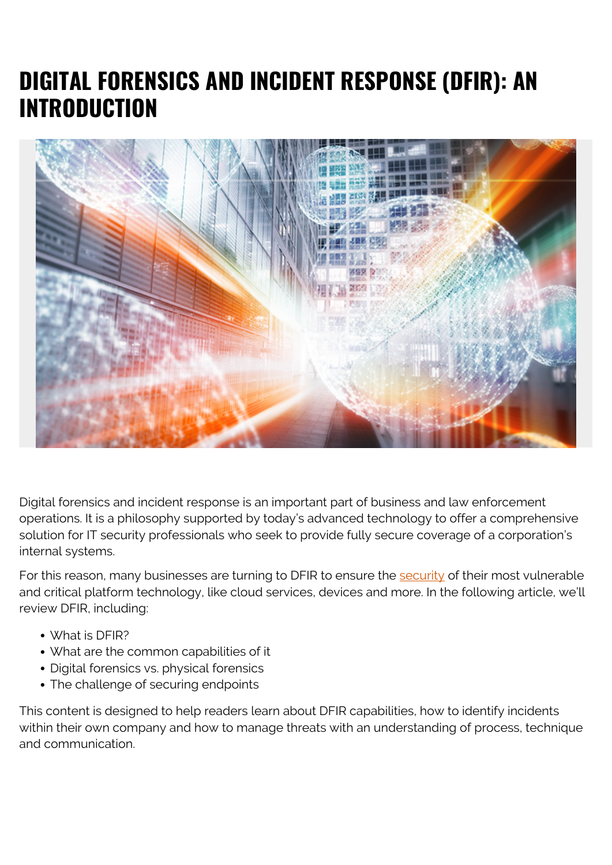## **DIGITAL FORENSICS AND INCIDENT RESPONSE (DFIR): AN INTRODUCTION**



Digital forensics and incident response is an important part of business and law enforcement operations. It is a philosophy supported by today's advanced technology to offer a comprehensive solution for IT security professionals who seek to provide fully secure coverage of a corporation's internal systems.

For this reason, many businesses are turning to DFIR to ensure the [security](https://blogs.bmc.com/blogs/security-vulnerability-vs-threat-vs-risk-whats-difference/) of their most vulnerable and critical platform technology, like cloud services, devices and more. In the following article, we'll review DFIR, including:

- What is DFIR?
- What are the common capabilities of it
- Digital forensics vs. physical forensics
- The challenge of securing endpoints

This content is designed to help readers learn about DFIR capabilities, how to identify incidents within their own company and how to manage threats with an understanding of process, technique and communication.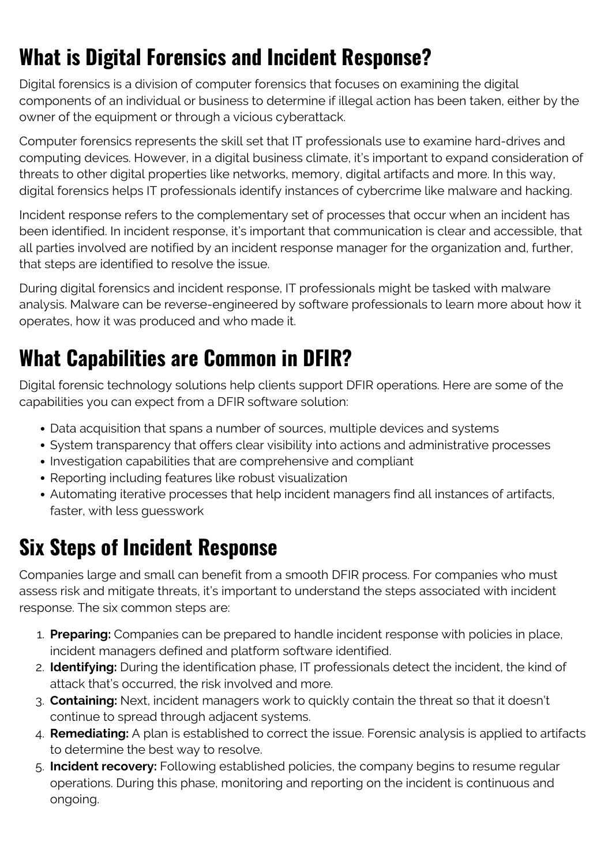# **What is Digital Forensics and Incident Response?**

Digital forensics is a division of computer forensics that focuses on examining the digital components of an individual or business to determine if illegal action has been taken, either by the owner of the equipment or through a vicious cyberattack.

Computer forensics represents the skill set that IT professionals use to examine hard-drives and computing devices. However, in a digital business climate, it's important to expand consideration of threats to other digital properties like networks, memory, digital artifacts and more. In this way, digital forensics helps IT professionals identify instances of cybercrime like malware and hacking.

Incident response refers to the complementary set of processes that occur when an incident has been identified. In incident response, it's important that communication is clear and accessible, that all parties involved are notified by an incident response manager for the organization and, further, that steps are identified to resolve the issue.

During digital forensics and incident response, IT professionals might be tasked with malware analysis. Malware can be reverse-engineered by software professionals to learn more about how it operates, how it was produced and who made it.

## **What Capabilities are Common in DFIR?**

Digital forensic technology solutions help clients support DFIR operations. Here are some of the capabilities you can expect from a DFIR software solution:

- Data acquisition that spans a number of sources, multiple devices and systems
- System transparency that offers clear visibility into actions and administrative processes
- Investigation capabilities that are comprehensive and compliant
- Reporting including features like robust visualization
- Automating iterative processes that help incident managers find all instances of artifacts, faster, with less guesswork

# **Six Steps of Incident Response**

Companies large and small can benefit from a smooth DFIR process. For companies who must assess risk and mitigate threats, it's important to understand the steps associated with incident response. The six common steps are:

- 1. **Preparing:** Companies can be prepared to handle incident response with policies in place, incident managers defined and platform software identified.
- 2. **Identifying:** During the identification phase, IT professionals detect the incident, the kind of attack that's occurred, the risk involved and more.
- 3. **Containing:** Next, incident managers work to quickly contain the threat so that it doesn't continue to spread through adjacent systems.
- 4. **Remediating:** A plan is established to correct the issue. Forensic analysis is applied to artifacts to determine the best way to resolve.
- 5. **Incident recovery:** Following established policies, the company begins to resume regular operations. During this phase, monitoring and reporting on the incident is continuous and ongoing.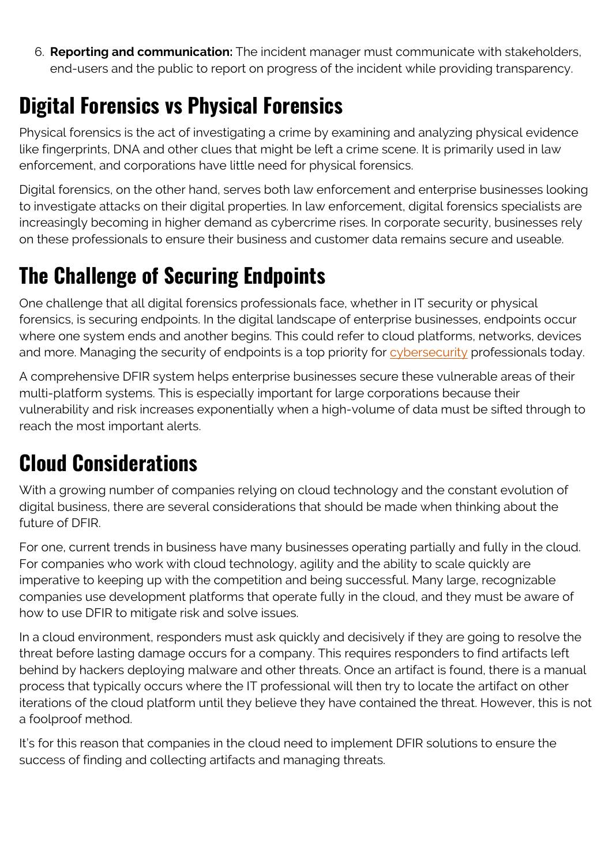6. **Reporting and communication:** The incident manager must communicate with stakeholders, end-users and the public to report on progress of the incident while providing transparency.

#### **Digital Forensics vs Physical Forensics**

Physical forensics is the act of investigating a crime by examining and analyzing physical evidence like fingerprints, DNA and other clues that might be left a crime scene. It is primarily used in law enforcement, and corporations have little need for physical forensics.

Digital forensics, on the other hand, serves both law enforcement and enterprise businesses looking to investigate attacks on their digital properties. In law enforcement, digital forensics specialists are increasingly becoming in higher demand as cybercrime rises. In corporate security, businesses rely on these professionals to ensure their business and customer data remains secure and useable.

## **The Challenge of Securing Endpoints**

One challenge that all digital forensics professionals face, whether in IT security or physical forensics, is securing endpoints. In the digital landscape of enterprise businesses, endpoints occur where one system ends and another begins. This could refer to cloud platforms, networks, devices and more. Managing the security of endpoints is a top priority for [cybersecurity](https://blogs.bmc.com/blogs/cybersecurity/) professionals today.

A comprehensive DFIR system helps enterprise businesses secure these vulnerable areas of their multi-platform systems. This is especially important for large corporations because their vulnerability and risk increases exponentially when a high-volume of data must be sifted through to reach the most important alerts.

# **Cloud Considerations**

With a growing number of companies relying on cloud technology and the constant evolution of digital business, there are several considerations that should be made when thinking about the future of DFIR.

For one, current trends in business have many businesses operating partially and fully in the cloud. For companies who work with cloud technology, agility and the ability to scale quickly are imperative to keeping up with the competition and being successful. Many large, recognizable companies use development platforms that operate fully in the cloud, and they must be aware of how to use DFIR to mitigate risk and solve issues.

In a cloud environment, responders must ask quickly and decisively if they are going to resolve the threat before lasting damage occurs for a company. This requires responders to find artifacts left behind by hackers deploying malware and other threats. Once an artifact is found, there is a manual process that typically occurs where the IT professional will then try to locate the artifact on other iterations of the cloud platform until they believe they have contained the threat. However, this is not a foolproof method.

It's for this reason that companies in the cloud need to implement DFIR solutions to ensure the success of finding and collecting artifacts and managing threats.